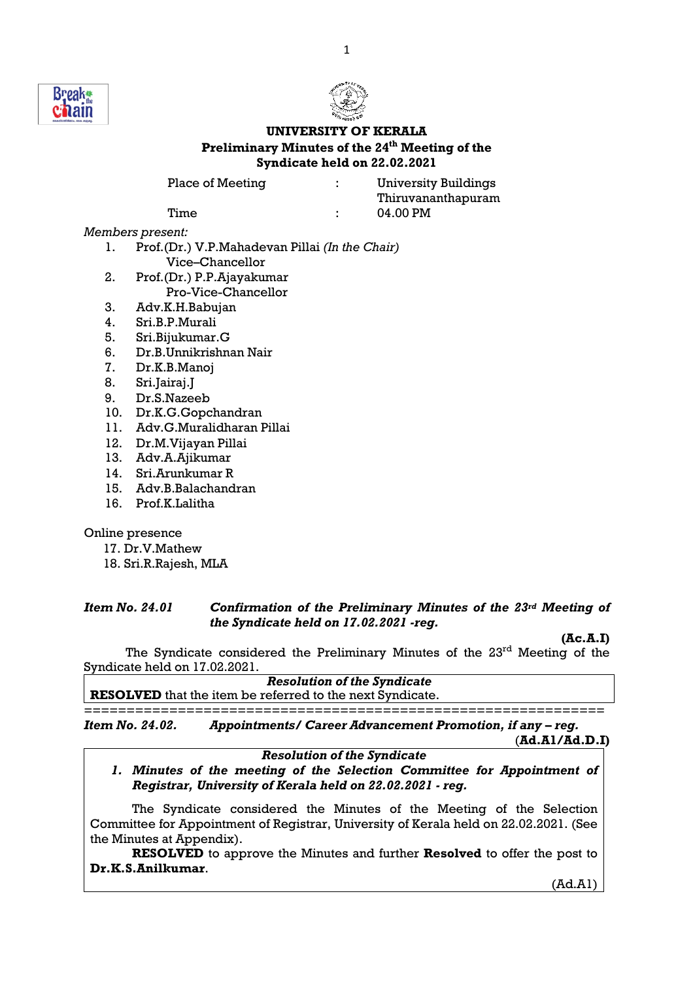



# UNIVERSITY OF KERALA Preliminary Minutes of the 24<sup>th</sup> Meeting of the Syndicate held on 22.02.2021

| Place of Meeting |  |
|------------------|--|
|------------------|--|

: University Buildings Thiruvananthapuram Time : 04.00 PM

Members present:

- 1. Prof.(Dr.) V.P.Mahadevan Pillai (In the Chair) Vice–Chancellor
- 2. Prof.(Dr.) P.P.Ajayakumar Pro-Vice-Chancellor
- 3. Adv.K.H.Babujan
- 4. Sri.B.P.Murali
- 5. Sri.Bijukumar.G
- 6. Dr.B.Unnikrishnan Nair
- 7. Dr.K.B.Manoj
- 8. Sri.Jairaj.J
- 9. Dr.S.Nazeeb
- 10. Dr.K.G.Gopchandran
- 11. Adv.G.Muralidharan Pillai
- 12. Dr.M.Vijayan Pillai
- 13. Adv.A.Ajikumar
- 14. Sri.Arunkumar R
- 15. Adv.B.Balachandran
- 16. Prof.K.Lalitha

Online presence

- 17. Dr.V.Mathew
- 18. Sri.R.Rajesh, MLA

## Item No. 24.01 Confirmation of the Preliminary Minutes of the 23rd Meeting of the Syndicate held on 17.02.2021 -reg.

 $(Ac.A.D)$ 

The Syndicate considered the Preliminary Minutes of the 23<sup>rd</sup> Meeting of the Syndicate held on 17.02.2021.

Resolution of the Syndicate RESOLVED that the item be referred to the next Syndicate.

=============================================================

Item No. 24.02. Appointments/ Career Advancement Promotion, if any – reg. (Ad.A1/Ad.D.I)

# Resolution of the Syndicate

1. Minutes of the meeting of the Selection Committee for Appointment of Registrar, University of Kerala held on 22.02.2021 - reg.

 The Syndicate considered the Minutes of the Meeting of the Selection Committee for Appointment of Registrar, University of Kerala held on 22.02.2021. (See the Minutes at Appendix).

RESOLVED to approve the Minutes and further Resolved to offer the post to Dr.K.S.Anilkumar.

(Ad.A1)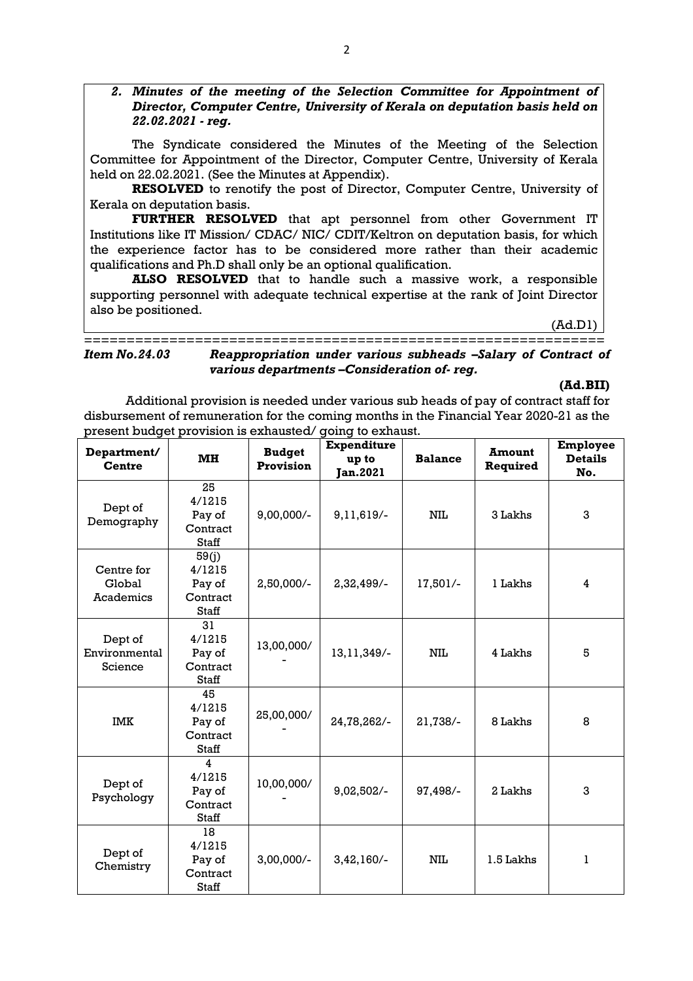2. Minutes of the meeting of the Selection Committee for Appointment of Director, Computer Centre, University of Kerala on deputation basis held on 22.02.2021 - reg.

 The Syndicate considered the Minutes of the Meeting of the Selection Committee for Appointment of the Director, Computer Centre, University of Kerala held on 22.02.2021. (See the Minutes at Appendix).

RESOLVED to renotify the post of Director, Computer Centre, University of Kerala on deputation basis.

FURTHER RESOLVED that apt personnel from other Government IT Institutions like IT Mission/ CDAC/ NIC/ CDIT/Keltron on deputation basis, for which the experience factor has to be considered more rather than their academic qualifications and Ph.D shall only be an optional qualification.

ALSO RESOLVED that to handle such a massive work, a responsible supporting personnel with adequate technical expertise at the rank of Joint Director also be positioned.

(Ad.D1)

## ============================================================= Item No.24.03 Reappropriation under various subheads –Salary of Contract of various departments –Consideration of- reg.

(Ad.BII)

Additional provision is needed under various sub heads of pay of contract staff for disbursement of remuneration for the coming months in the Financial Year 2020-21 as the present budget provision is exhausted/ going to exhaust.

| Department/<br><b>Centre</b>        | MH                                                    | <b>Budget</b><br>Provision | <b>Expenditure</b><br>up to<br><b>Jan.2021</b> | <b>Balance</b> | <b>Amount</b><br>Required | Employee<br><b>Details</b><br>No. |
|-------------------------------------|-------------------------------------------------------|----------------------------|------------------------------------------------|----------------|---------------------------|-----------------------------------|
| Dept of<br>Demography               | 25<br>4/1215<br>Pay of<br>Contract<br><b>Staff</b>    | $9,00,000/-$               | 9,11,619/-                                     | NIL            | 3 Lakhs                   | 3                                 |
| Centre for<br>Global<br>Academics   | 59(j)<br>4/1215<br>Pay of<br>Contract<br><b>Staff</b> | 2,50,000/-                 | 2,32,499/-                                     | 17,501/-       | 1 Lakhs                   | 4                                 |
| Dept of<br>Environmental<br>Science | 31<br>4/1215<br>Pay of<br>Contract<br><b>Staff</b>    | 13,00,000/                 | 13, 11, 349/-                                  | NIL            | 4 Lakhs                   | 5                                 |
| <b>IMK</b>                          | 45<br>4/1215<br>Pay of<br>Contract<br>Staff           | 25,00,000/                 | 24,78,262/-                                    | 21,738/-       | 8 Lakhs                   | 8                                 |
| Dept of<br>Psychology               | 4<br>4/1215<br>Pay of<br>Contract<br><b>Staff</b>     | 10,00,000/                 | 9,02,502/-                                     | 97,498/-       | 2 Lakhs                   | 3                                 |
| Dept of<br>Chemistry                | 18<br>4/1215<br>Pay of<br>Contract<br><b>Staff</b>    | $3,00,000/-$               | $3,42,160/-$                                   | NШ             | 1.5 Lakhs                 | 1                                 |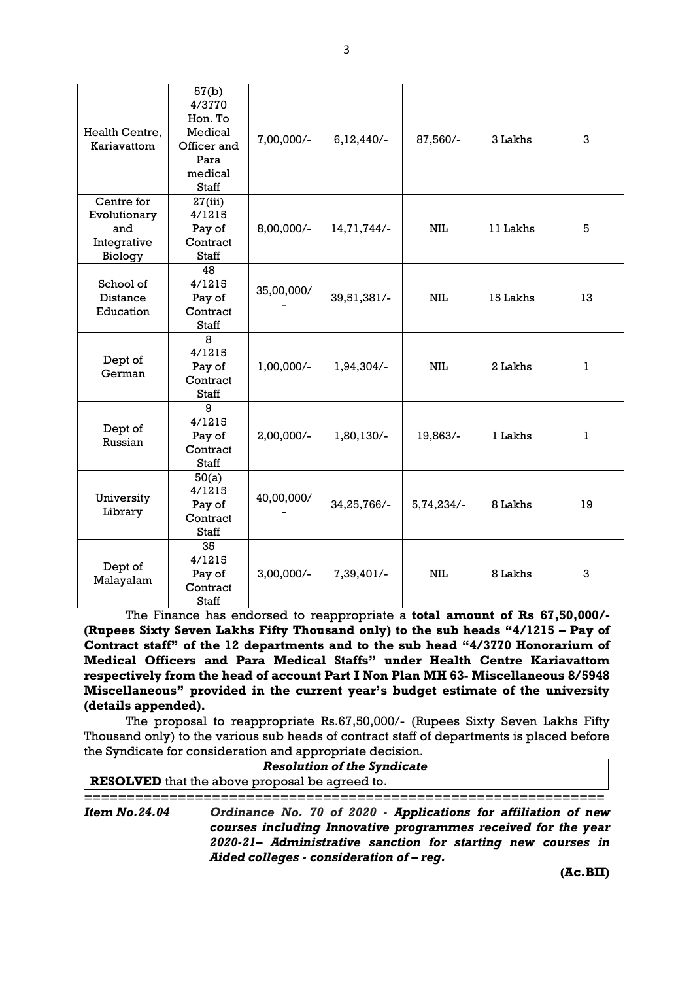| Health Centre,<br>Kariavattom                               | 57(b)<br>4/3770<br>Hon. To<br>Medical<br>Officer and<br>Para<br>medical<br><b>Staff</b> | 7,00,000/- | $6,12,440/-$ | 87,560/-   | 3 Lakhs  | 3  |
|-------------------------------------------------------------|-----------------------------------------------------------------------------------------|------------|--------------|------------|----------|----|
| Centre for<br>Evolutionary<br>and<br>Integrative<br>Biology | 27(iii)<br>4/1215<br>Pay of<br>Contract<br><b>Staff</b>                                 | 8,00,000/- | 14,71,744/-  | NIL        | 11 Lakhs | 5  |
| School of<br>Distance<br>Education                          | 48<br>4/1215<br>Pay of<br>Contract<br><b>Staff</b>                                      | 35,00,000/ | 39,51,381/-  | <b>NIL</b> | 15 Lakhs | 13 |
| Dept of<br>German                                           | 8<br>4/1215<br>Pay of<br>Contract<br>Staff                                              | 1,00,000/- | 1,94,304/-   | NIL        | 2 Lakhs  | ı  |
| Dept of<br>Russian                                          | 9<br>4/1215<br>Pay of<br>Contract<br><b>Staff</b>                                       | 2,00,000/- | 1,80,130/-   | 19,863/-   | 1 Lakhs  | 1  |
| University<br>Library                                       | 50(a)<br>4/1215<br>Pay of<br>Contract<br><b>Staff</b>                                   | 40,00,000/ | 34,25,766/-  | 5,74,234/- | 8 Lakhs  | 19 |
| Dept of<br>Malayalam                                        | 35<br>4/1215<br>Pay of<br>Contract<br><b>Staff</b>                                      | 3,00,000/- | 7,39,401/-   | <b>NIL</b> | 8 Lakhs  | 3  |

The Finance has endorsed to reappropriate a total amount of Rs 67,50,000/- (Rupees Sixty Seven Lakhs Fifty Thousand only) to the sub heads "4/1215 – Pay of Contract staff" of the 12 departments and to the sub head "4/3770 Honorarium of Medical Officers and Para Medical Staffs" under Health Centre Kariavattom respectively from the head of account Part I Non Plan MH 63- Miscellaneous 8/5948 Miscellaneous" provided in the current year's budget estimate of the university (details appended).

 The proposal to reappropriate Rs.67,50,000/- (Rupees Sixty Seven Lakhs Fifty Thousand only) to the various sub heads of contract staff of departments is placed before the Syndicate for consideration and appropriate decision.

| <b>Resolution of the Syndicate</b>                    |                                                                                                                                                                                                                                             |  |  |  |  |
|-------------------------------------------------------|---------------------------------------------------------------------------------------------------------------------------------------------------------------------------------------------------------------------------------------------|--|--|--|--|
| <b>RESOLVED</b> that the above proposal be agreed to. |                                                                                                                                                                                                                                             |  |  |  |  |
|                                                       |                                                                                                                                                                                                                                             |  |  |  |  |
| <i>Item No.24.04</i>                                  | Ordinance No. 70 of 2020 - Applications for affiliation of new<br>courses including Innovative programmes received for the year<br>2020-21- Administrative sanction for starting new courses in<br>Aided colleges - consideration of - reg. |  |  |  |  |

3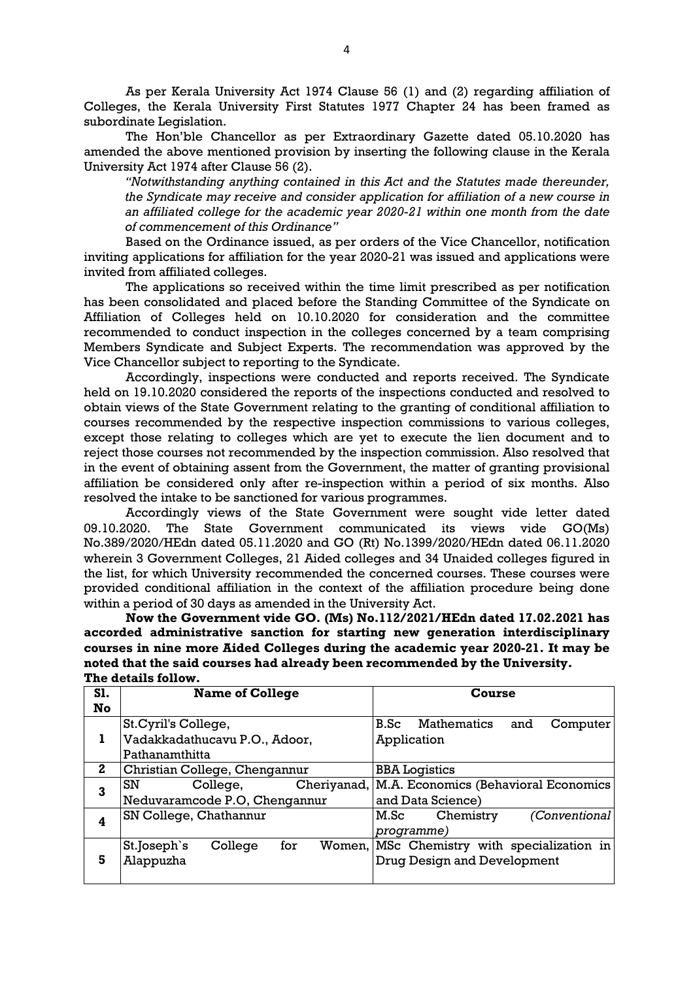As per Kerala University Act 1974 Clause 56 (1) and (2) regarding affiliation of Colleges, the Kerala University First Statutes 1977 Chapter 24 has been framed as subordinate Legislation.

 The Hon'ble Chancellor as per Extraordinary Gazette dated 05.10.2020 has amended the above mentioned provision by inserting the following clause in the Kerala University Act 1974 after Clause 56 (2).

"Notwithstanding anything contained in this Act and the Statutes made thereunder, the Syndicate may receive and consider application for affiliation of a new course in an affiliated college for the academic year 2020-21 within one month from the date of commencement of this Ordinance"

 Based on the Ordinance issued, as per orders of the Vice Chancellor, notification inviting applications for affiliation for the year 2020-21 was issued and applications were invited from affiliated colleges.

 The applications so received within the time limit prescribed as per notification has been consolidated and placed before the Standing Committee of the Syndicate on Affiliation of Colleges held on 10.10.2020 for consideration and the committee recommended to conduct inspection in the colleges concerned by a team comprising Members Syndicate and Subject Experts. The recommendation was approved by the Vice Chancellor subject to reporting to the Syndicate.

 Accordingly, inspections were conducted and reports received. The Syndicate held on 19.10.2020 considered the reports of the inspections conducted and resolved to obtain views of the State Government relating to the granting of conditional affiliation to courses recommended by the respective inspection commissions to various colleges, except those relating to colleges which are yet to execute the lien document and to reject those courses not recommended by the inspection commission. Also resolved that in the event of obtaining assent from the Government, the matter of granting provisional affiliation be considered only after re-inspection within a period of six months. Also resolved the intake to be sanctioned for various programmes.

 Accordingly views of the State Government were sought vide letter dated 09.10.2020. The State Government communicated its views vide GO(Ms) No.389/2020/HEdn dated 05.11.2020 and GO (Rt) No.1399/2020/HEdn dated 06.11.2020 wherein 3 Government Colleges, 21 Aided colleges and 34 Unaided colleges figured in the list, for which University recommended the concerned courses. These courses were provided conditional affiliation in the context of the affiliation procedure being done within a period of 30 days as amended in the University Act.

 Now the Government vide GO. (Ms) No.112/2021/HEdn dated 17.02.2021 has accorded administrative sanction for starting new generation interdisciplinary courses in nine more Aided Colleges during the academic year 2020-21. It may be noted that the said courses had already been recommended by the University. The details follow.

| <b>S1.</b><br>No | <b>Name of College</b>                                                  | Course                                                              |  |  |
|------------------|-------------------------------------------------------------------------|---------------------------------------------------------------------|--|--|
|                  | St. Cyril's College,<br>Vadakkadathucavu P.O., Adoor,<br>Pathanamthitta | Mathematics<br>B.Sc<br>and<br>Computer<br>Application               |  |  |
| 2                | Christian College, Chengannur                                           | <b>BBA</b> Logistics                                                |  |  |
| 3                | Cheriyanad,<br>SN<br>College,<br>Neduvaramcode P.O, Chengannur          | M.A. Economics (Behavioral Economics<br>and Data Science)           |  |  |
| 4                | SN College, Chathannur                                                  | M.Sc<br>(Conventional<br>Chemistry<br>programme)                    |  |  |
| 5                | for<br>St.Joseph's<br>College<br>Women,<br>Alappuzha                    | MSc Chemistry with specialization in<br>Drug Design and Development |  |  |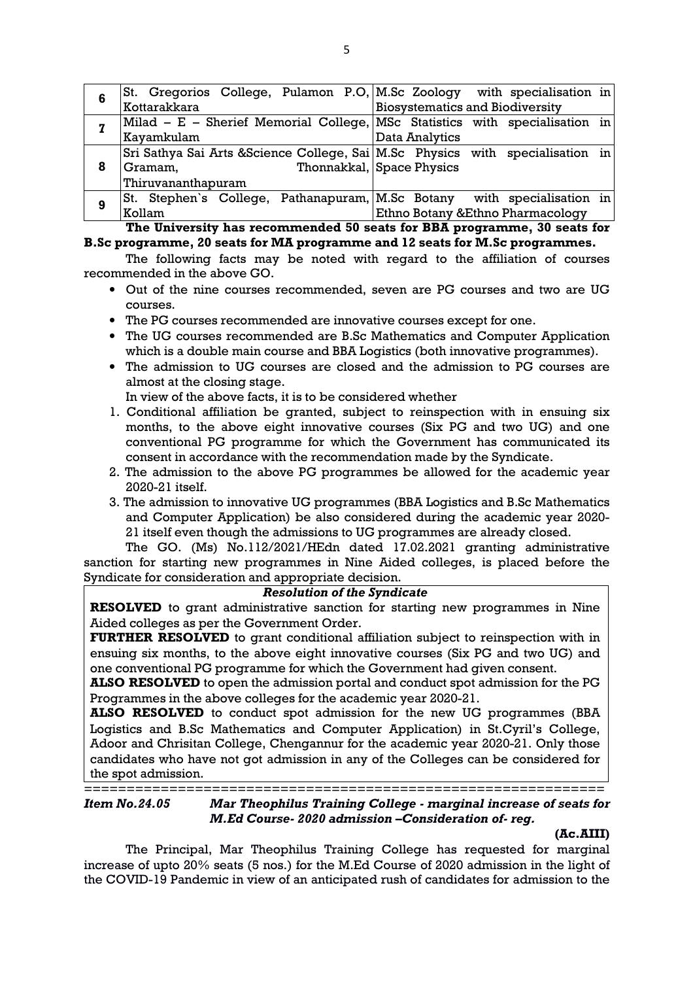| 6 | St. Gregorios College, Pulamon P.O. M.Sc Zoology with specialisation in        |                                        |
|---|--------------------------------------------------------------------------------|----------------------------------------|
|   | Kottarakkara                                                                   | <b>Biosystematics and Biodiversity</b> |
| 7 | Milad – E – Sherief Memorial College, MSc Statistics with specialisation in    |                                        |
|   | Kayamkulam                                                                     | Data Analytics                         |
|   | Sri Sathya Sai Arts & Science College, Sai M.Sc Physics with specialisation in |                                        |
| 8 | Gramam,                                                                        | Thonnakkal, Space Physics              |
|   | Thiruvananthapuram                                                             |                                        |
| 9 | St. Stephen's College, Pathanapuram, M.Sc Botany                               | with specialisation in                 |
|   | Kollam                                                                         | Ethno Botany & Ethno Pharmacology      |

The University has recommended 50 seats for BBA programme, 30 seats for B.Sc programme, 20 seats for MA programme and 12 seats for M.Sc programmes.

 The following facts may be noted with regard to the affiliation of courses recommended in the above GO.

- Out of the nine courses recommended, seven are PG courses and two are UG courses.
- The PG courses recommended are innovative courses except for one.
- The UG courses recommended are B.Sc Mathematics and Computer Application which is a double main course and BBA Logistics (both innovative programmes).
- The admission to UG courses are closed and the admission to PG courses are almost at the closing stage.

In view of the above facts, it is to be considered whether

- 1. Conditional affiliation be granted, subject to reinspection with in ensuing six months, to the above eight innovative courses (Six PG and two UG) and one conventional PG programme for which the Government has communicated its consent in accordance with the recommendation made by the Syndicate.
- 2. The admission to the above PG programmes be allowed for the academic year 2020-21 itself.
- 3. The admission to innovative UG programmes (BBA Logistics and B.Sc Mathematics and Computer Application) be also considered during the academic year 2020- 21 itself even though the admissions to UG programmes are already closed.

The GO. (Ms) No.112/2021/HEdn dated 17.02.2021 granting administrative sanction for starting new programmes in Nine Aided colleges, is placed before the Syndicate for consideration and appropriate decision.

### Resolution of the Syndicate

RESOLVED to grant administrative sanction for starting new programmes in Nine Aided colleges as per the Government Order.

FURTHER RESOLVED to grant conditional affiliation subject to reinspection with in ensuing six months, to the above eight innovative courses (Six PG and two UG) and one conventional PG programme for which the Government had given consent.

ALSO RESOLVED to open the admission portal and conduct spot admission for the PG Programmes in the above colleges for the academic year 2020-21.

ALSO RESOLVED to conduct spot admission for the new UG programmes (BBA Logistics and B.Sc Mathematics and Computer Application) in St.Cyril's College, Adoor and Chrisitan College, Chengannur for the academic year 2020-21. Only those candidates who have not got admission in any of the Colleges can be considered for the spot admission.

=============================================================

Item No.24.05 Mar Theophilus Training College - marginal increase of seats for M.Ed Course- 2020 admission –Consideration of- reg.

### (Ac.AIII)

 The Principal, Mar Theophilus Training College has requested for marginal increase of upto 20% seats (5 nos.) for the M.Ed Course of 2020 admission in the light of the COVID-19 Pandemic in view of an anticipated rush of candidates for admission to the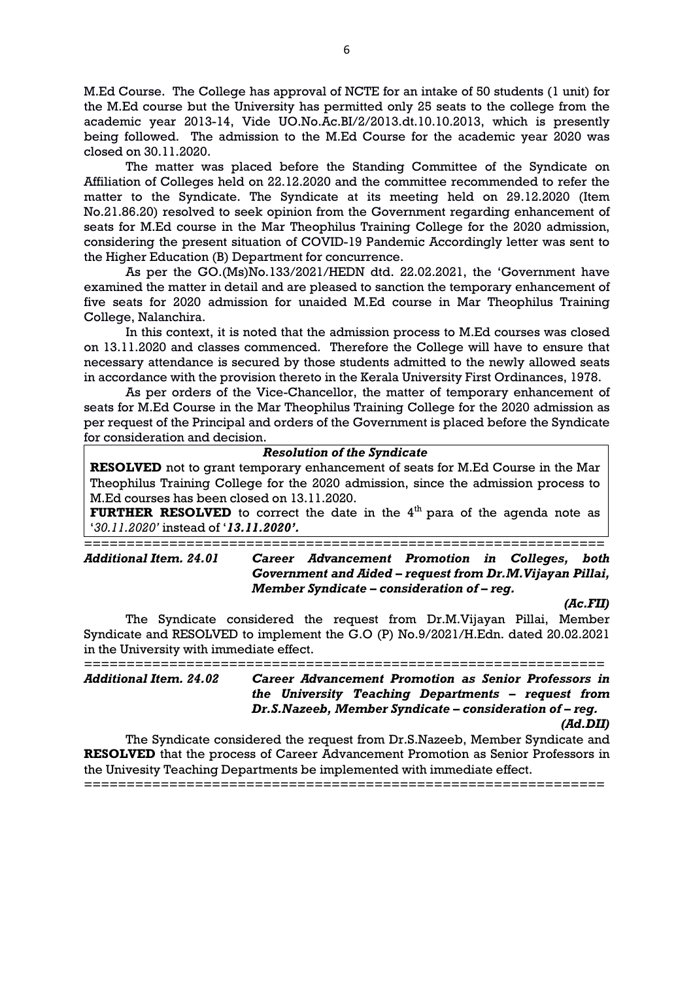M.Ed Course. The College has approval of NCTE for an intake of 50 students (1 unit) for the M.Ed course but the University has permitted only 25 seats to the college from the academic year 2013-14, Vide UO.No.Ac.BI/2/2013.dt.10.10.2013, which is presently being followed. The admission to the M.Ed Course for the academic year 2020 was closed on 30.11.2020.

The matter was placed before the Standing Committee of the Syndicate on Affiliation of Colleges held on 22.12.2020 and the committee recommended to refer the matter to the Syndicate. The Syndicate at its meeting held on 29.12.2020 (Item No.21.86.20) resolved to seek opinion from the Government regarding enhancement of seats for M.Ed course in the Mar Theophilus Training College for the 2020 admission, considering the present situation of COVID-19 Pandemic Accordingly letter was sent to the Higher Education (B) Department for concurrence.

As per the GO.(Ms)No.133/2021/HEDN dtd. 22.02.2021, the 'Government have examined the matter in detail and are pleased to sanction the temporary enhancement of five seats for 2020 admission for unaided M.Ed course in Mar Theophilus Training College, Nalanchira.

In this context, it is noted that the admission process to M.Ed courses was closed on 13.11.2020 and classes commenced. Therefore the College will have to ensure that necessary attendance is secured by those students admitted to the newly allowed seats in accordance with the provision thereto in the Kerala University First Ordinances, 1978.

As per orders of the Vice-Chancellor, the matter of temporary enhancement of seats for M.Ed Course in the Mar Theophilus Training College for the 2020 admission as per request of the Principal and orders of the Government is placed before the Syndicate for consideration and decision.

### Resolution of the Syndicate

RESOLVED not to grant temporary enhancement of seats for M.Ed Course in the Mar Theophilus Training College for the 2020 admission, since the admission process to M.Ed courses has been closed on 13.11.2020.

**FURTHER RESOLVED** to correct the date in the  $4<sup>th</sup>$  para of the agenda note as '30.11.2020' instead of '13.11.2020'.

=============================================================

Additional Item. 24.01 Career Advancement Promotion in Colleges, both Government and Aided – request from Dr.M.Vijayan Pillai, Member Syndicate – consideration of – reg.

(Ac.FII)

The Syndicate considered the request from Dr.M.Vijayan Pillai, Member Syndicate and RESOLVED to implement the G.O (P) No.9/2021/H.Edn. dated 20.02.2021 in the University with immediate effect.

============================================================= Additional Item. 24.02 Career Advancement Promotion as Senior Professors in the University Teaching Departments – request from Dr.S.Nazeeb, Member Syndicate – consideration of – reg. (Ad.DII)

The Syndicate considered the request from Dr.S.Nazeeb, Member Syndicate and RESOLVED that the process of Career Advancement Promotion as Senior Professors in the Univesity Teaching Departments be implemented with immediate effect.

=============================================================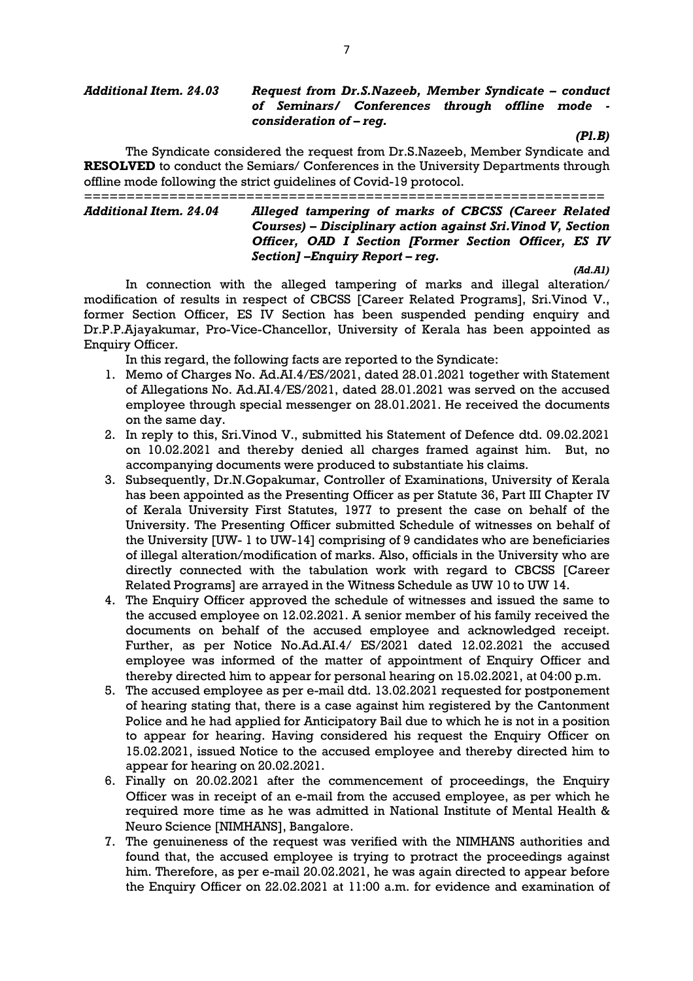#### Additional Item. 24.03 Request from Dr.S.Nazeeb, Member Syndicate – conduct of Seminars/ Conferences through offline mode consideration of – reg.

 $(PI.B)$ 

The Syndicate considered the request from Dr.S.Nazeeb, Member Syndicate and RESOLVED to conduct the Semiars/ Conferences in the University Departments through offline mode following the strict guidelines of Covid-19 protocol.

============================================================= Alleged tampering of marks of CBCSS (Career Related Courses) – Disciplinary action against Sri.Vinod V, Section Officer, OAD I Section [Former Section Officer, ES IV Section] –Enquiry Report – reg.

(Ad.A1)

In connection with the alleged tampering of marks and illegal alteration/ modification of results in respect of CBCSS [Career Related Programs], Sri.Vinod V., former Section Officer, ES IV Section has been suspended pending enquiry and Dr.P.P.Ajayakumar, Pro-Vice-Chancellor, University of Kerala has been appointed as Enquiry Officer.

In this regard, the following facts are reported to the Syndicate:

- 1. Memo of Charges No. Ad.AI.4/ES/2021, dated 28.01.2021 together with Statement of Allegations No. Ad.AI.4/ES/2021, dated 28.01.2021 was served on the accused employee through special messenger on 28.01.2021. He received the documents on the same day.
- 2. In reply to this, Sri.Vinod V., submitted his Statement of Defence dtd. 09.02.2021 on 10.02.2021 and thereby denied all charges framed against him. But, no accompanying documents were produced to substantiate his claims.
- 3. Subsequently, Dr.N.Gopakumar, Controller of Examinations, University of Kerala has been appointed as the Presenting Officer as per Statute 36, Part III Chapter IV of Kerala University First Statutes, 1977 to present the case on behalf of the University. The Presenting Officer submitted Schedule of witnesses on behalf of the University [UW- 1 to UW-14] comprising of 9 candidates who are beneficiaries of illegal alteration/modification of marks. Also, officials in the University who are directly connected with the tabulation work with regard to CBCSS [Career Related Programs] are arrayed in the Witness Schedule as UW 10 to UW 14.
- 4. The Enquiry Officer approved the schedule of witnesses and issued the same to the accused employee on 12.02.2021. A senior member of his family received the documents on behalf of the accused employee and acknowledged receipt. Further, as per Notice No.Ad.AI.4/ ES/2021 dated 12.02.2021 the accused employee was informed of the matter of appointment of Enquiry Officer and thereby directed him to appear for personal hearing on 15.02.2021, at 04:00 p.m.
- 5. The accused employee as per e-mail dtd. 13.02.2021 requested for postponement of hearing stating that, there is a case against him registered by the Cantonment Police and he had applied for Anticipatory Bail due to which he is not in a position to appear for hearing. Having considered his request the Enquiry Officer on 15.02.2021, issued Notice to the accused employee and thereby directed him to appear for hearing on 20.02.2021.
- 6. Finally on 20.02.2021 after the commencement of proceedings, the Enquiry Officer was in receipt of an e-mail from the accused employee, as per which he required more time as he was admitted in National Institute of Mental Health & Neuro Science [NIMHANS], Bangalore.
- 7. The genuineness of the request was verified with the NIMHANS authorities and found that, the accused employee is trying to protract the proceedings against him. Therefore, as per e-mail 20.02.2021, he was again directed to appear before the Enquiry Officer on 22.02.2021 at 11:00 a.m. for evidence and examination of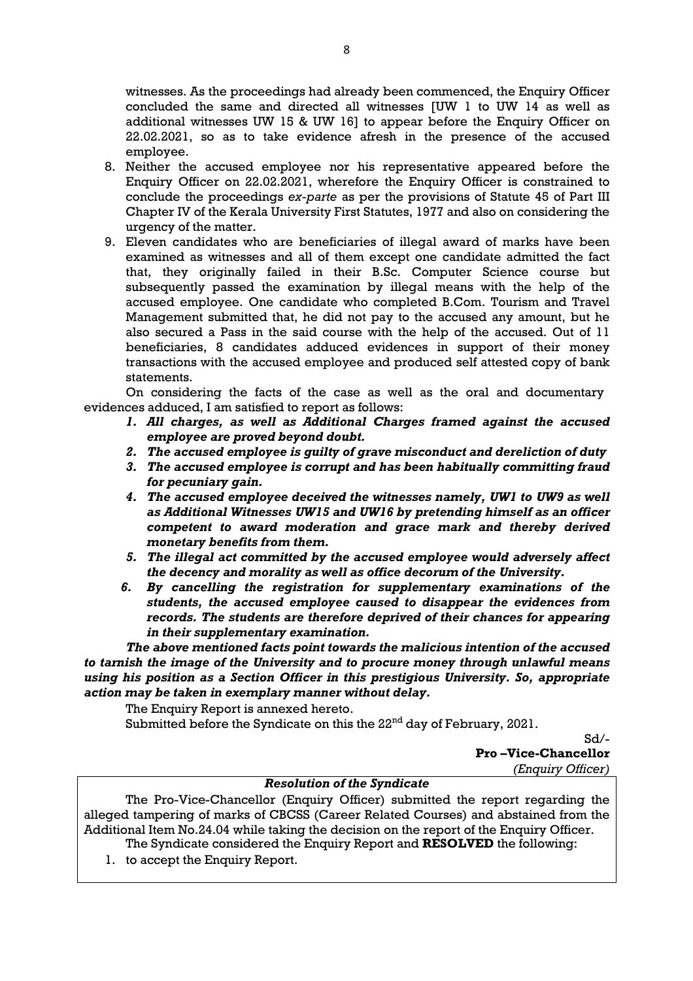witnesses. As the proceedings had already been commenced, the Enquiry Officer concluded the same and directed all witnesses [UW 1 to UW 14 as well as additional witnesses UW 15 & UW 16] to appear before the Enquiry Officer on 22.02.2021, so as to take evidence afresh in the presence of the accused employee.

- 8. Neither the accused employee nor his representative appeared before the Enquiry Officer on 22.02.2021, wherefore the Enquiry Officer is constrained to conclude the proceedings ex-parte as per the provisions of Statute 45 of Part III Chapter IV of the Kerala University First Statutes, 1977 and also on considering the urgency of the matter.
- 9. Eleven candidates who are beneficiaries of illegal award of marks have been examined as witnesses and all of them except one candidate admitted the fact that, they originally failed in their B.Sc. Computer Science course but subsequently passed the examination by illegal means with the help of the accused employee. One candidate who completed B.Com. Tourism and Travel Management submitted that, he did not pay to the accused any amount, but he also secured a Pass in the said course with the help of the accused. Out of 11 beneficiaries, 8 candidates adduced evidences in support of their money transactions with the accused employee and produced self attested copy of bank statements.

 On considering the facts of the case as well as the oral and documentary evidences adduced, I am satisfied to report as follows:

- 1. All charges, as well as Additional Charges framed against the accused employee are proved beyond doubt.
- 2. The accused employee is guilty of grave misconduct and dereliction of duty
- 3. The accused employee is corrupt and has been habitually committing fraud for pecuniary gain.
- 4. The accused employee deceived the witnesses namely, UW1 to UW9 as well as Additional Witnesses UW15 and UW16 by pretending himself as an officer competent to award moderation and grace mark and thereby derived monetary benefits from them.
- 5. The illegal act committed by the accused employee would adversely affect the decency and morality as well as office decorum of the University.
- 6. By cancelling the registration for supplementary examinations of the students, the accused employee caused to disappear the evidences from records. The students are therefore deprived of their chances for appearing in their supplementary examination.

The above mentioned facts point towards the malicious intention of the accused to tarnish the image of the University and to procure money through unlawful means using his position as a Section Officer in this prestigious University. So, appropriate action may be taken in exemplary manner without delay.

The Enquiry Report is annexed hereto.

Submitted before the Syndicate on this the 22<sup>nd</sup> day of February, 2021.

Sd/-

Pro –Vice-Chancellor (Enquiry Officer)

## Resolution of the Syndicate

The Pro-Vice-Chancellor (Enquiry Officer) submitted the report regarding the alleged tampering of marks of CBCSS (Career Related Courses) and abstained from the Additional Item No.24.04 while taking the decision on the report of the Enquiry Officer. The Syndicate considered the Enquiry Report and RESOLVED the following:

1. to accept the Enquiry Report.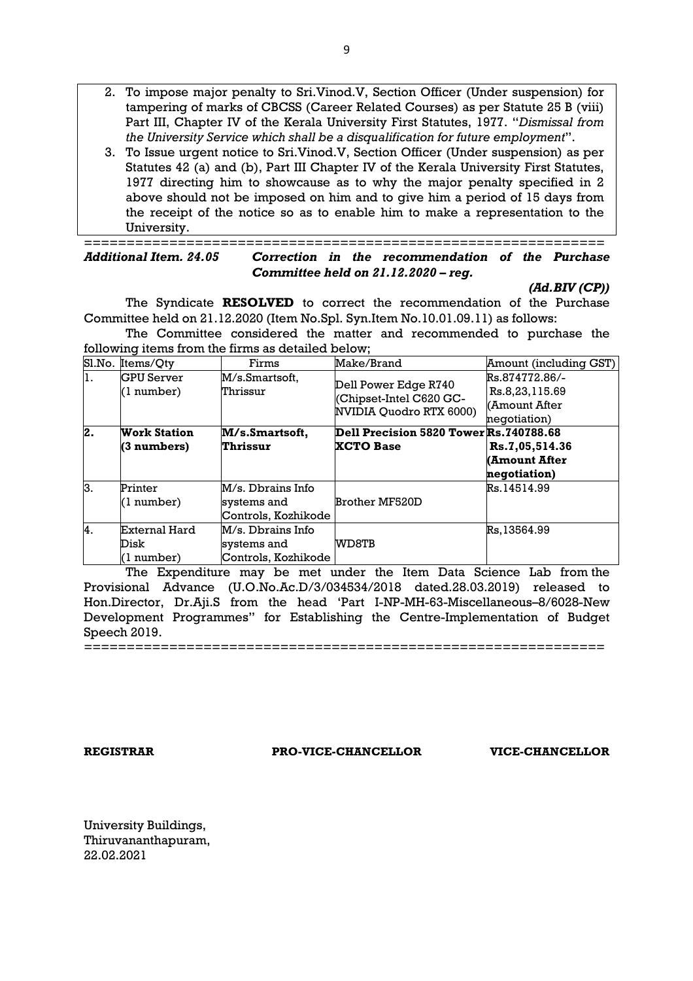- 2. To impose major penalty to Sri.Vinod.V, Section Officer (Under suspension) for tampering of marks of CBCSS (Career Related Courses) as per Statute 25 B (viii) Part III, Chapter IV of the Kerala University First Statutes, 1977. "Dismissal from the University Service which shall be a disqualification for future employment".
- 3. To Issue urgent notice to Sri.Vinod.V, Section Officer (Under suspension) as per Statutes 42 (a) and (b), Part III Chapter IV of the Kerala University First Statutes, 1977 directing him to showcause as to why the major penalty specified in 2 above should not be imposed on him and to give him a period of 15 days from the receipt of the notice so as to enable him to make a representation to the University.

=============================================================

Correction in the recommendation of the Purchase Committee held on 21.12.2020 – reg.

(Ad.BIV (CP))

The Syndicate RESOLVED to correct the recommendation of the Purchase Committee held on 21.12.2020 (Item No.Spl. Syn.Item No.10.01.09.11) as follows:

The Committee considered the matter and recommended to purchase the following items from the firms as detailed below;

| Sl.No. | Items/Qty                           | Firms                                                   | Make/Brand                                                                | Amount (including GST)                                            |
|--------|-------------------------------------|---------------------------------------------------------|---------------------------------------------------------------------------|-------------------------------------------------------------------|
| 1.     | <b>GPU</b> Server<br>(1 number)     | M/s.Smartsoft,<br>Thrissur                              | Dell Power Edge R740<br>Chipset-Intel C620 GC-<br>NVIDIA Quodro RTX 6000) | Rs.874772.86/-<br>Rs.8,23,115.69<br>KAmount After<br>negotiation) |
| 2.     | <b>Work Station</b><br>(3 numbers)  | M/s.Smartsoft,<br>Thrissur                              | Dell Precision 5820 Tower Rs.740788.68<br><b>XCTO Base</b>                | Rs.7,05,514.36<br>(Amount After<br>negotiation)                   |
| lз.    | Printer<br>(1 number)               | M/s. Dbrains Info<br>systems and<br>Controls, Kozhikode | Brother MF520D                                                            | Rs.14514.99                                                       |
| 4.     | External Hard<br>Disk<br>(1 number) | M/s. Dbrains Info<br>systems and<br>Controls, Kozhikode | WD8TB                                                                     | Rs.13564.99                                                       |

The Expenditure may be met under the Item Data Science Lab from the Provisional Advance (U.O.No.Ac.D/3/034534/2018 dated.28.03.2019) released to Hon.Director, Dr.Aji.S from the head 'Part I-NP-MH-63-Miscellaneous–8/6028-New Development Programmes" for Establishing the Centre-Implementation of Budget Speech 2019.

=============================================================

REGISTRAR PRO-VICE-CHANCELLOR VICE-CHANCELLOR

University Buildings, Thiruvananthapuram, 22.02.2021